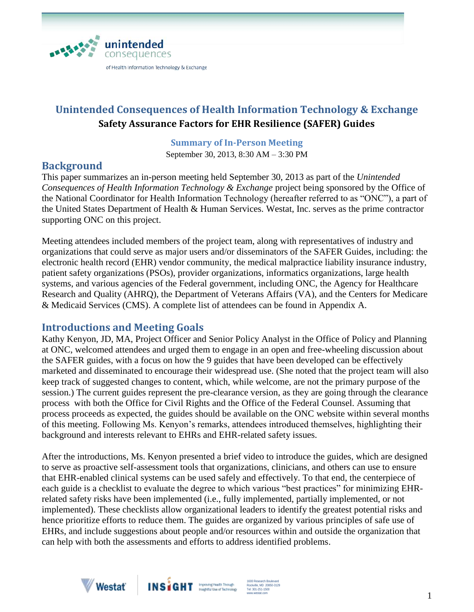

# **Unintended Consequences of Health Information Technology & Exchange Safety Assurance Factors for EHR Resilience (SAFER) Guides**

#### **Summary of In-Person Meeting**

September 30, 2013, 8:30 AM – 3:30 PM

# **Background**

This paper summarizes an in-person meeting held September 30, 2013 as part of the *Unintended Consequences of Health Information Technology & Exchange* project being sponsored by the Office of the National Coordinator for Health Information Technology (hereafter referred to as "ONC"), a part of the United States Department of Health & Human Services. Westat, Inc. serves as the prime contractor supporting ONC on this project.

Meeting attendees included members of the project team, along with representatives of industry and organizations that could serve as major users and/or disseminators of the SAFER Guides, including: the electronic health record (EHR) vendor community, the medical malpractice liability insurance industry, patient safety organizations (PSOs), provider organizations, informatics organizations, large health systems, and various agencies of the Federal government, including ONC, the Agency for Healthcare Research and Quality (AHRQ), the Department of Veterans Affairs (VA), and the Centers for Medicare & Medicaid Services (CMS). A complete list of attendees can be found in Appendix A.

# **Introductions and Meeting Goals**

Kathy Kenyon, JD, MA, Project Officer and Senior Policy Analyst in the Office of Policy and Planning at ONC, welcomed attendees and urged them to engage in an open and free-wheeling discussion about the SAFER guides, with a focus on how the 9 guides that have been developed can be effectively marketed and disseminated to encourage their widespread use. (She noted that the project team will also keep track of suggested changes to content, which, while welcome, are not the primary purpose of the session.) The current guides represent the pre-clearance version, as they are going through the clearance process with both the Office for Civil Rights and the Office of the Federal Counsel. Assuming that process proceeds as expected, the guides should be available on the ONC website within several months of this meeting. Following Ms. Kenyon's remarks, attendees introduced themselves, highlighting their background and interests relevant to EHRs and EHR-related safety issues.

After the introductions, Ms. Kenyon presented a brief video to introduce the guides, which are designed to serve as proactive self-assessment tools that organizations, clinicians, and others can use to ensure that EHR-enabled clinical systems can be used safely and effectively. To that end, the centerpiece of each guide is a checklist to evaluate the degree to which various "best practices" for minimizing EHRrelated safety risks have been implemented (i.e., fully implemented, partially implemented, or not implemented). These checklists allow organizational leaders to identify the greatest potential risks and hence prioritize efforts to reduce them. The guides are organized by various principles of safe use of EHRs, and include suggestions about people and/or resources within and outside the organization that can help with both the assessments and efforts to address identified problems.



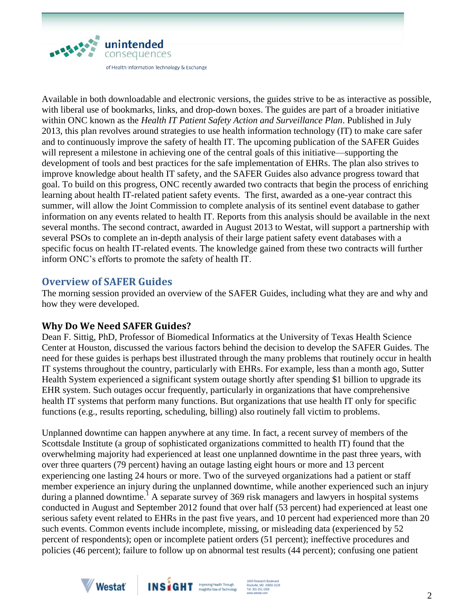

Available in both downloadable and electronic versions, the guides strive to be as interactive as possible, with liberal use of bookmarks, links, and drop-down boxes. The guides are part of a broader initiative within ONC known as the *Health IT Patient Safety Action and Surveillance Plan*. Published in July 2013, this plan revolves around strategies to use health information technology (IT) to make care safer and to continuously improve the safety of health IT. The upcoming publication of the SAFER Guides will represent a milestone in achieving one of the central goals of this initiative—supporting the development of tools and best practices for the safe implementation of EHRs. The plan also strives to improve knowledge about health IT safety, and the SAFER Guides also advance progress toward that goal. To build on this progress, ONC recently awarded two contracts that begin the process of enriching learning about health IT-related patient safety events. The first, awarded as a one-year contract this summer, will allow the Joint Commission to complete analysis of its sentinel event database to gather information on any events related to health IT. Reports from this analysis should be available in the next several months. The second contract, awarded in August 2013 to Westat, will support a partnership with several PSOs to complete an in-depth analysis of their large patient safety event databases with a specific focus on health IT-related events. The knowledge gained from these two contracts will further inform ONC's efforts to promote the safety of health IT.

# **Overview of SAFER Guides**

The morning session provided an overview of the SAFER Guides, including what they are and why and how they were developed.

# **Why Do We Need SAFER Guides?**

Dean F. Sittig, PhD, Professor of Biomedical Informatics at the University of Texas Health Science Center at Houston, discussed the various factors behind the decision to develop the SAFER Guides. The need for these guides is perhaps best illustrated through the many problems that routinely occur in health IT systems throughout the country, particularly with EHRs. For example, less than a month ago, Sutter Health System experienced a significant system outage shortly after spending \$1 billion to upgrade its EHR system. Such outages occur frequently, particularly in organizations that have comprehensive health IT systems that perform many functions. But organizations that use health IT only for specific functions (e.g., results reporting, scheduling, billing) also routinely fall victim to problems.

Unplanned downtime can happen anywhere at any time. In fact, a recent survey of members of the Scottsdale Institute (a group of sophisticated organizations committed to health IT) found that the overwhelming majority had experienced at least one unplanned downtime in the past three years, with over three quarters (79 percent) having an outage lasting eight hours or more and 13 percent experiencing one lasting 24 hours or more. Two of the surveyed organizations had a patient or staff member experience an injury during the unplanned downtime, while another experienced such an injury during a planned downtime.<sup>1</sup> A separate survey of 369 risk managers and lawyers in hospital systems conducted in August and September 2012 found that over half (53 percent) had experienced at least one serious safety event related to EHRs in the past five years, and 10 percent had experienced more than 20 such events. Common events include incomplete, missing, or misleading data (experienced by 52 percent of respondents); open or incomplete patient orders (51 percent); ineffective procedures and policies (46 percent); failure to follow up on abnormal test results (44 percent); confusing one patient



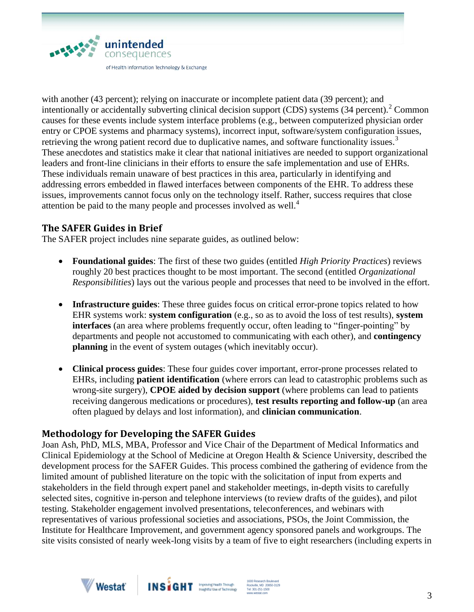

with another (43 percent); relying on inaccurate or incomplete patient data (39 percent); and intentionally or accidentally subverting clinical decision support (CDS) systems  $(34$  percent).<sup>2</sup> Common causes for these events include system interface problems (e.g., between computerized physician order entry or CPOE systems and pharmacy systems), incorrect input, software/system configuration issues, retrieving the wrong patient record due to duplicative names, and software functionality issues.<sup>3</sup> These anecdotes and statistics make it clear that national initiatives are needed to support organizational leaders and front-line clinicians in their efforts to ensure the safe implementation and use of EHRs. These individuals remain unaware of best practices in this area, particularly in identifying and addressing errors embedded in flawed interfaces between components of the EHR. To address these issues, improvements cannot focus only on the technology itself. Rather, success requires that close attention be paid to the many people and processes involved as well.<sup>4</sup>

# **The SAFER Guides in Brief**

The SAFER project includes nine separate guides, as outlined below:

- **Foundational guides**: The first of these two guides (entitled *High Priority Practices*) reviews roughly 20 best practices thought to be most important. The second (entitled *Organizational Responsibilities*) lays out the various people and processes that need to be involved in the effort.
- **Infrastructure guides**: These three guides focus on critical error-prone topics related to how EHR systems work: **system configuration** (e.g., so as to avoid the loss of test results), **system interfaces** (an area where problems frequently occur, often leading to "finger-pointing" by departments and people not accustomed to communicating with each other), and **contingency planning** in the event of system outages (which inevitably occur).
- **Clinical process guides**: These four guides cover important, error-prone processes related to EHRs, including **patient identification** (where errors can lead to catastrophic problems such as wrong-site surgery), **CPOE aided by decision support** (where problems can lead to patients receiving dangerous medications or procedures), **test results reporting and follow-up** (an area often plagued by delays and lost information), and **clinician communication**.

# **Methodology for Developing the SAFER Guides**

Joan Ash, PhD, MLS, MBA, Professor and Vice Chair of the Department of Medical Informatics and Clinical Epidemiology at the School of Medicine at Oregon Health & Science University, described the development process for the SAFER Guides. This process combined the gathering of evidence from the limited amount of published literature on the topic with the solicitation of input from experts and stakeholders in the field through expert panel and stakeholder meetings, in-depth visits to carefully selected sites, cognitive in-person and telephone interviews (to review drafts of the guides), and pilot testing. Stakeholder engagement involved presentations, teleconferences, and webinars with representatives of various professional societies and associations, PSOs, the Joint Commission, the Institute for Healthcare Improvement, and government agency sponsored panels and workgroups. The site visits consisted of nearly week-long visits by a team of five to eight researchers (including experts in



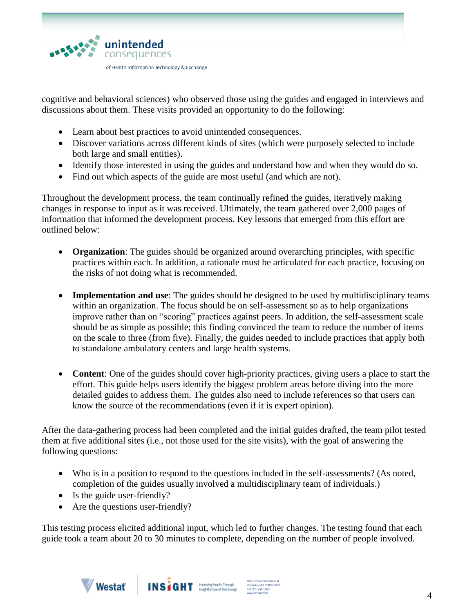

cognitive and behavioral sciences) who observed those using the guides and engaged in interviews and discussions about them. These visits provided an opportunity to do the following:

- Learn about best practices to avoid unintended consequences.
- Discover variations across different kinds of sites (which were purposely selected to include both large and small entities).
- Identify those interested in using the guides and understand how and when they would do so.
- Find out which aspects of the guide are most useful (and which are not).

Throughout the development process, the team continually refined the guides, iteratively making changes in response to input as it was received. Ultimately, the team gathered over 2,000 pages of information that informed the development process. Key lessons that emerged from this effort are outlined below:

- **Organization**: The guides should be organized around overarching principles, with specific practices within each. In addition, a rationale must be articulated for each practice, focusing on the risks of not doing what is recommended.
- **Implementation and use**: The guides should be designed to be used by multidisciplinary teams within an organization. The focus should be on self-assessment so as to help organizations improve rather than on "scoring" practices against peers. In addition, the self-assessment scale should be as simple as possible; this finding convinced the team to reduce the number of items on the scale to three (from five). Finally, the guides needed to include practices that apply both to standalone ambulatory centers and large health systems.
- **Content**: One of the guides should cover high-priority practices, giving users a place to start the effort. This guide helps users identify the biggest problem areas before diving into the more detailed guides to address them. The guides also need to include references so that users can know the source of the recommendations (even if it is expert opinion).

After the data-gathering process had been completed and the initial guides drafted, the team pilot tested them at five additional sites (i.e., not those used for the site visits), with the goal of answering the following questions:

- Who is in a position to respond to the questions included in the self-assessments? (As noted, completion of the guides usually involved a multidisciplinary team of individuals.)
- Is the guide user-friendly?
- Are the questions user-friendly?

This testing process elicited additional input, which led to further changes. The testing found that each guide took a team about 20 to 30 minutes to complete, depending on the number of people involved.



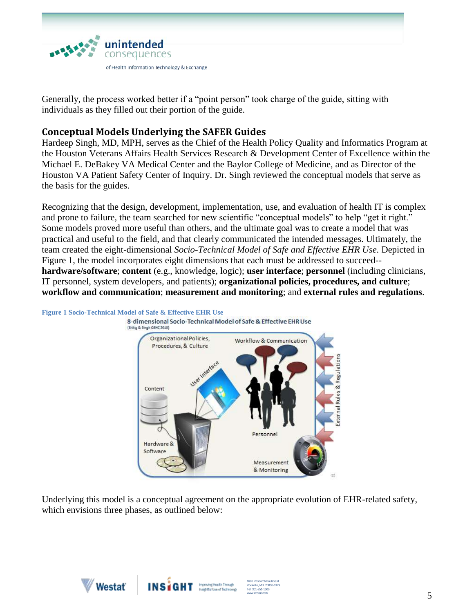

Generally, the process worked better if a "point person" took charge of the guide, sitting with individuals as they filled out their portion of the guide.

# **Conceptual Models Underlying the SAFER Guides**

Hardeep Singh, MD, MPH, serves as the Chief of the Health Policy Quality and Informatics Program at the Houston Veterans Affairs Health Services Research & Development Center of Excellence within the Michael E. DeBakey VA Medical Center and the Baylor College of Medicine, and as Director of the Houston VA Patient Safety Center of Inquiry. Dr. Singh reviewed the conceptual models that serve as the basis for the guides.

Recognizing that the design, development, implementation, use, and evaluation of health IT is complex and prone to failure, the team searched for new scientific "conceptual models" to help "get it right." Some models proved more useful than others, and the ultimate goal was to create a model that was practical and useful to the field, and that clearly communicated the intended messages. Ultimately, the team created the eight-dimensional *Socio-Technical Model of Safe and Effective EHR Use.* Depicted in Figure 1, the model incorporates eight dimensions that each must be addressed to succeed- **hardware/software**; **content** (e.g., knowledge, logic); **user interface**; **personnel** (including clinicians, IT personnel, system developers, and patients); **organizational policies, procedures, and culture**; **workflow and communication**; **measurement and monitoring**; and **external rules and regulations**.



**Figure 1 Socio-Technical Model of Safe & Effective EHR Use**

Underlying this model is a conceptual agreement on the appropriate evolution of EHR-related safety, which envisions three phases, as outlined below:



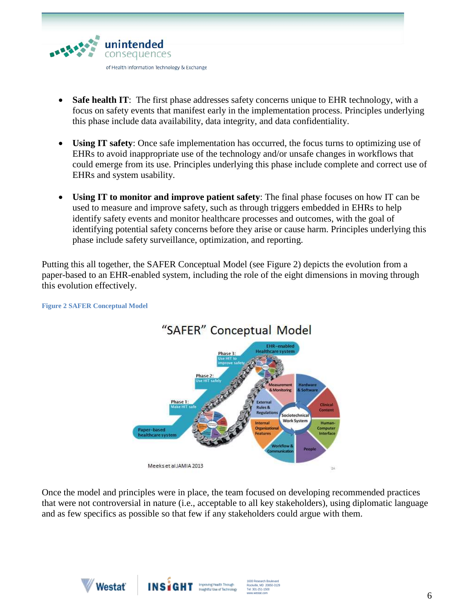

- **Safe health IT**: The first phase addresses safety concerns unique to EHR technology, with a focus on safety events that manifest early in the implementation process. Principles underlying this phase include data availability, data integrity, and data confidentiality.
- **Using IT safety**: Once safe implementation has occurred, the focus turns to optimizing use of EHRs to avoid inappropriate use of the technology and/or unsafe changes in workflows that could emerge from its use. Principles underlying this phase include complete and correct use of EHRs and system usability.
- **Using IT to monitor and improve patient safety**: The final phase focuses on how IT can be used to measure and improve safety, such as through triggers embedded in EHRs to help identify safety events and monitor healthcare processes and outcomes, with the goal of identifying potential safety concerns before they arise or cause harm. Principles underlying this phase include safety surveillance, optimization, and reporting.

Putting this all together, the SAFER Conceptual Model (see Figure 2) depicts the evolution from a paper-based to an EHR-enabled system, including the role of the eight dimensions in moving through this evolution effectively.



**Figure 2 SAFER Conceptual Model**

Once the model and principles were in place, the team focused on developing recommended practices that were not controversial in nature (i.e., acceptable to all key stakeholders), using diplomatic language and as few specifics as possible so that few if any stakeholders could argue with them.

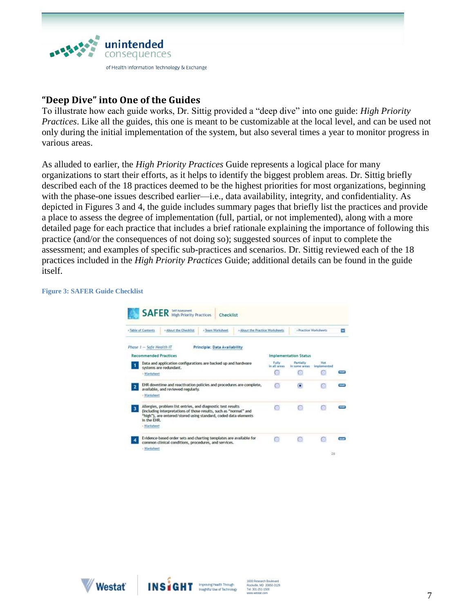

# **"Deep Dive" into One of the Guides**

To illustrate how each guide works, Dr. Sittig provided a "deep dive" into one guide: *High Priority Practices*. Like all the guides, this one is meant to be customizable at the local level, and can be used not only during the initial implementation of the system, but also several times a year to monitor progress in various areas.

As alluded to earlier, the *High Priority Practices* Guide represents a logical place for many organizations to start their efforts, as it helps to identify the biggest problem areas. Dr. Sittig briefly described each of the 18 practices deemed to be the highest priorities for most organizations, beginning with the phase-one issues described earlier—i.e., data availability, integrity, and confidentiality. As depicted in Figures 3 and 4, the guide includes summary pages that briefly list the practices and provide a place to assess the degree of implementation (full, partial, or not implemented), along with a more detailed page for each practice that includes a brief rationale explaining the importance of following this practice (and/or the consequences of not doing so); suggested sources of input to complete the assessment; and examples of specific sub-practices and scenarios. Dr. Sittig reviewed each of the 18 practices included in the *High Priority Practices* Guide; additional details can be found in the guide itself.

#### **Figure 3: SAFER Guide Checklist**

| » About the Checklist<br>> Team Worksheet<br>» About the Practice Worksheets<br>a Table of Contents |                        | > Practice Worksheets                                 |                                                                                                                                                                                                                                                                                                                                                                                                                                                     |                            | v                         |  |
|-----------------------------------------------------------------------------------------------------|------------------------|-------------------------------------------------------|-----------------------------------------------------------------------------------------------------------------------------------------------------------------------------------------------------------------------------------------------------------------------------------------------------------------------------------------------------------------------------------------------------------------------------------------------------|----------------------------|---------------------------|--|
| Phase 1 - Safe Health IT                                                                            |                        |                                                       |                                                                                                                                                                                                                                                                                                                                                                                                                                                     |                            |                           |  |
| <b>Recommended Practices</b>                                                                        |                        |                                                       | <b>Implementation Status</b>                                                                                                                                                                                                                                                                                                                                                                                                                        |                            |                           |  |
|                                                                                                     |                        |                                                       | Fully<br>in all areas.                                                                                                                                                                                                                                                                                                                                                                                                                              | Partially<br>in some areas | <b>Nok</b><br>implemented |  |
|                                                                                                     |                        |                                                       | m                                                                                                                                                                                                                                                                                                                                                                                                                                                   |                            |                           |  |
|                                                                                                     |                        |                                                       | o                                                                                                                                                                                                                                                                                                                                                                                                                                                   | n                          |                           |  |
|                                                                                                     |                        |                                                       |                                                                                                                                                                                                                                                                                                                                                                                                                                                     |                            |                           |  |
|                                                                                                     |                        |                                                       |                                                                                                                                                                                                                                                                                                                                                                                                                                                     |                            |                           |  |
|                                                                                                     |                        |                                                       |                                                                                                                                                                                                                                                                                                                                                                                                                                                     |                            |                           |  |
|                                                                                                     |                        | common clinical conditions, procedures, and services. | G0                                                                                                                                                                                                                                                                                                                                                                                                                                                  |                            |                           |  |
|                                                                                                     | systems are redundant. | available, and reviewed regularly.                    | Principle: Data Availability<br>Data and application configurations are backed up and hardware<br>EHR downtime and reactivation policies and procedures are complete,<br>Allergies, problem list entries, and diagnostic test results<br>(including interpretations of those results, such as "normal" and<br>"high"), are entered/stored using standard, coded data elements<br>Evidence-based order sets and charting templates are available for |                            |                           |  |



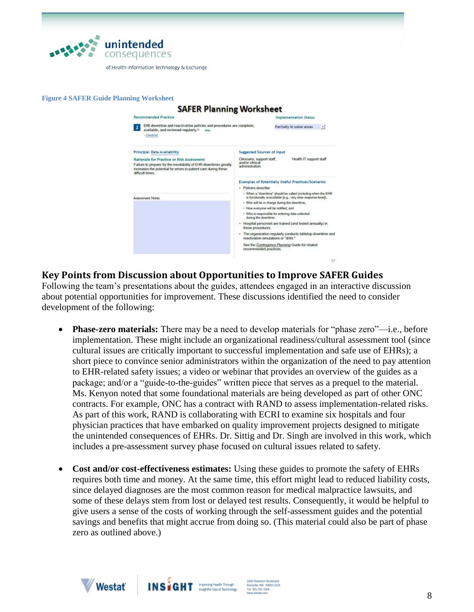

**Figure 4 SAFER Guide Planning Worksheet**

#### **SAFER Planning Worksheet** Recommended Practice **Implementation Status** 2 DR downtime and reactivation policies and procedures are complete, Partially in some areas available, and reviewed regularly.<sup>1</sup> - Checkflat Principle: Data Availability Spreested Sources of Input Health IT support staff Rationale for Practice or Risk Assessment Clinicians, support staff, Failure to prepare for the inevitability of EHR downtimes greatly<br>increases the potential for errors in patient care during these<br>difficult times. angror canacar.<br>administration Examples of Potentially Useful Practices/Scenarios · Policies describe: - When a "downtime" should be called (including when the EHR<br>is functionally unavailable [e.g., very slow response time]). **Assessment Noter** - Who will be in charge during the downtime, . How everyone will be notified, and - Who is responsible for entering data collected<br>during the downtime. . Hospital personnel are trained (and tested annually) in these procedures . The organization regularly conducts tabletop downtime and<br>reactivation simulations or "drills." See the Contingency Planning Guide for related<br>recommended practices. ä

# **Key Points from Discussion about Opportunities to Improve SAFER Guides**

Following the team's presentations about the guides, attendees engaged in an interactive discussion about potential opportunities for improvement. These discussions identified the need to consider development of the following:

- **Phase-zero materials:** There may be a need to develop materials for "phase zero"—i.e., before implementation. These might include an organizational readiness/cultural assessment tool (since cultural issues are critically important to successful implementation and safe use of EHRs); a short piece to convince senior administrators within the organization of the need to pay attention to EHR-related safety issues; a video or webinar that provides an overview of the guides as a package; and/or a "guide-to-the-guides" written piece that serves as a prequel to the material. Ms. Kenyon noted that some foundational materials are being developed as part of other ONC contracts. For example, ONC has a contract with RAND to assess implementation-related risks. As part of this work, RAND is collaborating with ECRI to examine six hospitals and four physician practices that have embarked on quality improvement projects designed to mitigate the unintended consequences of EHRs. Dr. Sittig and Dr. Singh are involved in this work, which includes a pre-assessment survey phase focused on cultural issues related to safety.
- **Cost and/or cost-effectiveness estimates:** Using these guides to promote the safety of EHRs requires both time and money. At the same time, this effort might lead to reduced liability costs, since delayed diagnoses are the most common reason for medical malpractice lawsuits, and some of these delays stem from lost or delayed test results. Consequently, it would be helpful to give users a sense of the costs of working through the self-assessment guides and the potential savings and benefits that might accrue from doing so. (This material could also be part of phase zero as outlined above.)



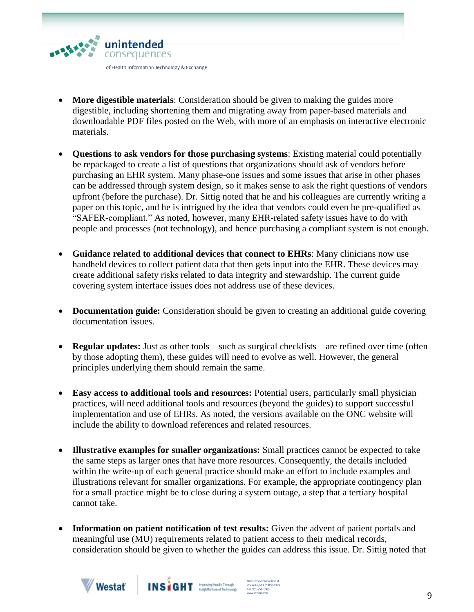

- **More digestible materials**: Consideration should be given to making the guides more digestible, including shortening them and migrating away from paper-based materials and downloadable PDF files posted on the Web, with more of an emphasis on interactive electronic materials.
- **Questions to ask vendors for those purchasing systems**: Existing material could potentially be repackaged to create a list of questions that organizations should ask of vendors before purchasing an EHR system. Many phase-one issues and some issues that arise in other phases can be addressed through system design, so it makes sense to ask the right questions of vendors upfront (before the purchase). Dr. Sittig noted that he and his colleagues are currently writing a paper on this topic, and he is intrigued by the idea that vendors could even be pre-qualified as "SAFER-compliant." As noted, however, many EHR-related safety issues have to do with people and processes (not technology), and hence purchasing a compliant system is not enough.
- **Guidance related to additional devices that connect to EHRs**: Many clinicians now use handheld devices to collect patient data that then gets input into the EHR. These devices may create additional safety risks related to data integrity and stewardship. The current guide covering system interface issues does not address use of these devices.
- **Documentation guide:** Consideration should be given to creating an additional guide covering documentation issues.
- **Regular updates:** Just as other tools—such as surgical checklists—are refined over time (often by those adopting them), these guides will need to evolve as well. However, the general principles underlying them should remain the same.
- **Easy access to additional tools and resources:** Potential users, particularly small physician practices, will need additional tools and resources (beyond the guides) to support successful implementation and use of EHRs. As noted, the versions available on the ONC website will include the ability to download references and related resources.
- **Illustrative examples for smaller organizations:** Small practices cannot be expected to take the same steps as larger ones that have more resources. Consequently, the details included within the write-up of each general practice should make an effort to include examples and illustrations relevant for smaller organizations. For example, the appropriate contingency plan for a small practice might be to close during a system outage, a step that a tertiary hospital cannot take.
- **Information on patient notification of test results:** Given the advent of patient portals and meaningful use (MU) requirements related to patient access to their medical records, consideration should be given to whether the guides can address this issue. Dr. Sittig noted that



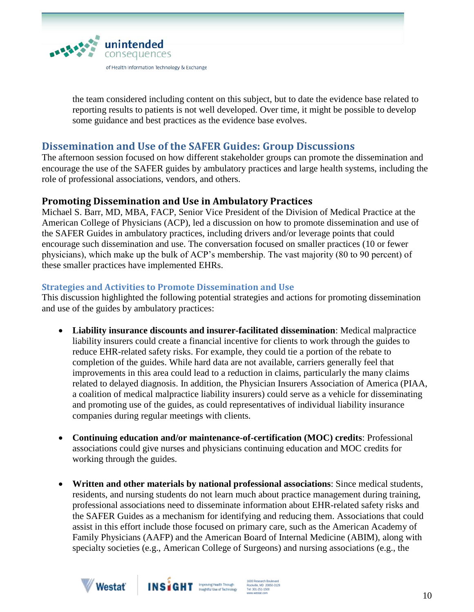

the team considered including content on this subject, but to date the evidence base related to reporting results to patients is not well developed. Over time, it might be possible to develop some guidance and best practices as the evidence base evolves.

# **Dissemination and Use of the SAFER Guides: Group Discussions**

The afternoon session focused on how different stakeholder groups can promote the dissemination and encourage the use of the SAFER guides by ambulatory practices and large health systems, including the role of professional associations, vendors, and others.

# **Promoting Dissemination and Use in Ambulatory Practices**

Michael S. Barr, MD, MBA, FACP, Senior Vice President of the Division of Medical Practice at the American College of Physicians (ACP), led a discussion on how to promote dissemination and use of the SAFER Guides in ambulatory practices, including drivers and/or leverage points that could encourage such dissemination and use. The conversation focused on smaller practices (10 or fewer physicians), which make up the bulk of ACP's membership. The vast majority (80 to 90 percent) of these smaller practices have implemented EHRs.

### **Strategies and Activities to Promote Dissemination and Use**

This discussion highlighted the following potential strategies and actions for promoting dissemination and use of the guides by ambulatory practices:

- **Liability insurance discounts and insurer-facilitated dissemination**: Medical malpractice liability insurers could create a financial incentive for clients to work through the guides to reduce EHR-related safety risks. For example, they could tie a portion of the rebate to completion of the guides. While hard data are not available, carriers generally feel that improvements in this area could lead to a reduction in claims, particularly the many claims related to delayed diagnosis. In addition, the Physician Insurers Association of America (PIAA, a coalition of medical malpractice liability insurers) could serve as a vehicle for disseminating and promoting use of the guides, as could representatives of individual liability insurance companies during regular meetings with clients.
- **Continuing education and/or maintenance-of-certification (MOC) credits**: Professional associations could give nurses and physicians continuing education and MOC credits for working through the guides.
- **Written and other materials by national professional associations**: Since medical students, residents, and nursing students do not learn much about practice management during training, professional associations need to disseminate information about EHR-related safety risks and the SAFER Guides as a mechanism for identifying and reducing them. Associations that could assist in this effort include those focused on primary care, such as the American Academy of Family Physicians (AAFP) and the American Board of Internal Medicine (ABIM), along with specialty societies (e.g., American College of Surgeons) and nursing associations (e.g., the



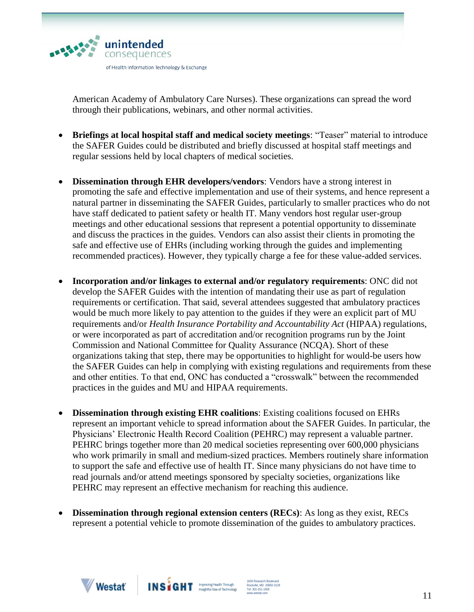

American Academy of Ambulatory Care Nurses). These organizations can spread the word through their publications, webinars, and other normal activities.

- **Briefings at local hospital staff and medical society meetings**: "Teaser" material to introduce the SAFER Guides could be distributed and briefly discussed at hospital staff meetings and regular sessions held by local chapters of medical societies.
- **Dissemination through EHR developers/vendors**: Vendors have a strong interest in promoting the safe and effective implementation and use of their systems, and hence represent a natural partner in disseminating the SAFER Guides, particularly to smaller practices who do not have staff dedicated to patient safety or health IT. Many vendors host regular user-group meetings and other educational sessions that represent a potential opportunity to disseminate and discuss the practices in the guides. Vendors can also assist their clients in promoting the safe and effective use of EHRs (including working through the guides and implementing recommended practices). However, they typically charge a fee for these value-added services.
- **Incorporation and/or linkages to external and/or regulatory requirements**: ONC did not develop the SAFER Guides with the intention of mandating their use as part of regulation requirements or certification. That said, several attendees suggested that ambulatory practices would be much more likely to pay attention to the guides if they were an explicit part of MU requirements and/or *Health Insurance Portability and Accountability Act* (HIPAA) regulations, or were incorporated as part of accreditation and/or recognition programs run by the Joint Commission and National Committee for Quality Assurance (NCQA). Short of these organizations taking that step, there may be opportunities to highlight for would-be users how the SAFER Guides can help in complying with existing regulations and requirements from these and other entities. To that end, ONC has conducted a "crosswalk" between the recommended practices in the guides and MU and HIPAA requirements.
- **Dissemination through existing EHR coalitions**: Existing coalitions focused on EHRs represent an important vehicle to spread information about the SAFER Guides. In particular, the Physicians' Electronic Health Record Coalition (PEHRC) may represent a valuable partner. PEHRC brings together more than 20 [medical societies r](http://pehrc.wordpress.com/members-of-pehrc/)epresenting over 600,000 physicians who work primarily in small and medium-sized practices. Members routinely share information to support the safe and effective use of health IT. Since many physicians do not have time to read journals and/or attend meetings sponsored by specialty societies, organizations like PEHRC may represent an effective mechanism for reaching this audience.
- **Dissemination through regional extension centers (RECs)**: As long as they exist, RECs represent a potential vehicle to promote dissemination of the guides to ambulatory practices.



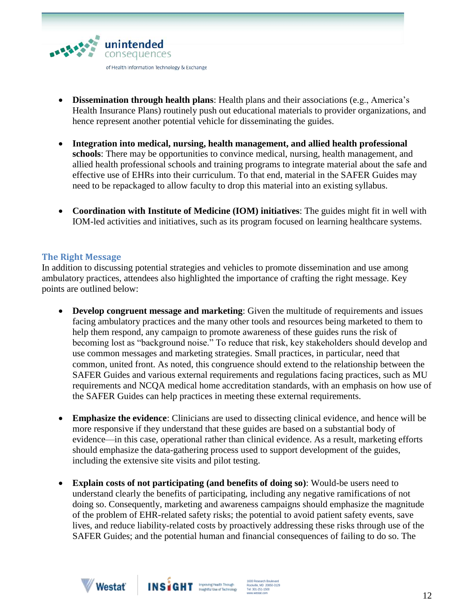

- **Dissemination through health plans**: Health plans and their associations (e.g., America's Health Insurance Plans) routinely push out educational materials to provider organizations, and hence represent another potential vehicle for disseminating the guides.
- **Integration into medical, nursing, health management, and allied health professional schools**: There may be opportunities to convince medical, nursing, health management, and allied health professional schools and training programs to integrate material about the safe and effective use of EHRs into their curriculum. To that end, material in the SAFER Guides may need to be repackaged to allow faculty to drop this material into an existing syllabus.
- **Coordination with Institute of Medicine (IOM) initiatives**: The guides might fit in well with IOM-led activities and initiatives, such as its program focused on learning healthcare systems.

#### **The Right Message**

In addition to discussing potential strategies and vehicles to promote dissemination and use among ambulatory practices, attendees also highlighted the importance of crafting the right message. Key points are outlined below:

- **Develop congruent message and marketing**: Given the multitude of requirements and issues facing ambulatory practices and the many other tools and resources being marketed to them to help them respond, any campaign to promote awareness of these guides runs the risk of becoming lost as "background noise." To reduce that risk, key stakeholders should develop and use common messages and marketing strategies. Small practices, in particular, need that common, united front. As noted, this congruence should extend to the relationship between the SAFER Guides and various external requirements and regulations facing practices, such as MU requirements and NCQA medical home accreditation standards, with an emphasis on how use of the SAFER Guides can help practices in meeting these external requirements.
- **Emphasize the evidence**: Clinicians are used to dissecting clinical evidence, and hence will be more responsive if they understand that these guides are based on a substantial body of evidence—in this case, operational rather than clinical evidence. As a result, marketing efforts should emphasize the data-gathering process used to support development of the guides, including the extensive site visits and pilot testing.
- **Explain costs of not participating (and benefits of doing so)**: Would-be users need to understand clearly the benefits of participating, including any negative ramifications of not doing so. Consequently, marketing and awareness campaigns should emphasize the magnitude of the problem of EHR-related safety risks; the potential to avoid patient safety events, save lives, and reduce liability-related costs by proactively addressing these risks through use of the SAFER Guides; and the potential human and financial consequences of failing to do so. The



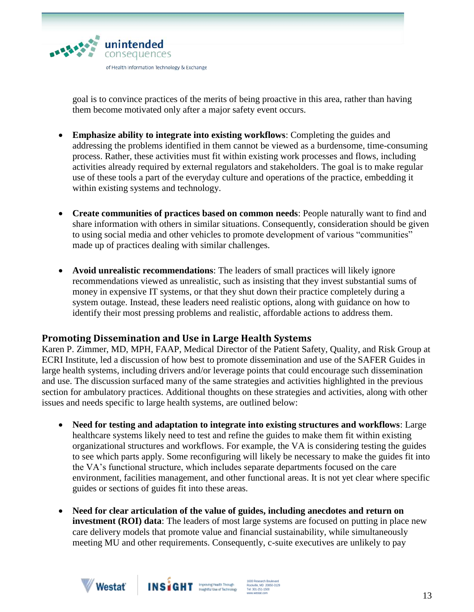

goal is to convince practices of the merits of being proactive in this area, rather than having them become motivated only after a major safety event occurs.

- **Emphasize ability to integrate into existing workflows**: Completing the guides and addressing the problems identified in them cannot be viewed as a burdensome, time-consuming process. Rather, these activities must fit within existing work processes and flows, including activities already required by external regulators and stakeholders. The goal is to make regular use of these tools a part of the everyday culture and operations of the practice, embedding it within existing systems and technology.
- **Create communities of practices based on common needs**: People naturally want to find and share information with others in similar situations. Consequently, consideration should be given to using social media and other vehicles to promote development of various "communities" made up of practices dealing with similar challenges.
- **Avoid unrealistic recommendations**: The leaders of small practices will likely ignore recommendations viewed as unrealistic, such as insisting that they invest substantial sums of money in expensive IT systems, or that they shut down their practice completely during a system outage. Instead, these leaders need realistic options, along with guidance on how to identify their most pressing problems and realistic, affordable actions to address them.

# **Promoting Dissemination and Use in Large Health Systems**

Karen P. Zimmer, MD, MPH, FAAP, Medical Director of the Patient Safety, Quality, and Risk Group at ECRI Institute, led a discussion of how best to promote dissemination and use of the SAFER Guides in large health systems, including drivers and/or leverage points that could encourage such dissemination and use. The discussion surfaced many of the same strategies and activities highlighted in the previous section for ambulatory practices. Additional thoughts on these strategies and activities, along with other issues and needs specific to large health systems, are outlined below:

- **Need for testing and adaptation to integrate into existing structures and workflows**: Large healthcare systems likely need to test and refine the guides to make them fit within existing organizational structures and workflows. For example, the VA is considering testing the guides to see which parts apply. Some reconfiguring will likely be necessary to make the guides fit into the VA's functional structure, which includes separate departments focused on the care environment, facilities management, and other functional areas. It is not yet clear where specific guides or sections of guides fit into these areas.
- **Need for clear articulation of the value of guides, including anecdotes and return on investment (ROI) data**: The leaders of most large systems are focused on putting in place new care delivery models that promote value and financial sustainability, while simultaneously meeting MU and other requirements. Consequently, c-suite executives are unlikely to pay



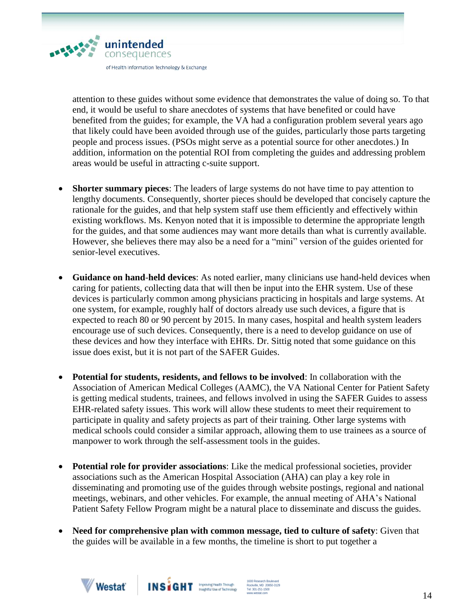

attention to these guides without some evidence that demonstrates the value of doing so. To that end, it would be useful to share anecdotes of systems that have benefited or could have benefited from the guides; for example, the VA had a configuration problem several years ago that likely could have been avoided through use of the guides, particularly those parts targeting people and process issues. (PSOs might serve as a potential source for other anecdotes.) In addition, information on the potential ROI from completing the guides and addressing problem areas would be useful in attracting c-suite support.

- **Shorter summary pieces**: The leaders of large systems do not have time to pay attention to lengthy documents. Consequently, shorter pieces should be developed that concisely capture the rationale for the guides, and that help system staff use them efficiently and effectively within existing workflows. Ms. Kenyon noted that it is impossible to determine the appropriate length for the guides, and that some audiences may want more details than what is currently available. However, she believes there may also be a need for a "mini" version of the guides oriented for senior-level executives.
- **Guidance on hand**-**held devices**: As noted earlier, many clinicians use hand-held devices when caring for patients, collecting data that will then be input into the EHR system. Use of these devices is particularly common among physicians practicing in hospitals and large systems. At one system, for example, roughly half of doctors already use such devices, a figure that is expected to reach 80 or 90 percent by 2015. In many cases, hospital and health system leaders encourage use of such devices. Consequently, there is a need to develop guidance on use of these devices and how they interface with EHRs. Dr. Sittig noted that some guidance on this issue does exist, but it is not part of the SAFER Guides.
- **Potential for students, residents, and fellows to be involved**: In collaboration with the Association of American Medical Colleges (AAMC), the VA National Center for Patient Safety is getting medical students, trainees, and fellows involved in using the SAFER Guides to assess EHR-related safety issues. This work will allow these students to meet their requirement to participate in quality and safety projects as part of their training. Other large systems with medical schools could consider a similar approach, allowing them to use trainees as a source of manpower to work through the self-assessment tools in the guides.
- **Potential role for provider associations**: Like the medical professional societies, provider associations such as the American Hospital Association (AHA) can play a key role in disseminating and promoting use of the guides through website postings, regional and national meetings, webinars, and other vehicles. For example, the annual meeting of AHA's National Patient Safety Fellow Program might be a natural place to disseminate and discuss the guides.
- **Need for comprehensive plan with common message, tied to culture of safety**: Given that the guides will be available in a few months, the timeline is short to put together a



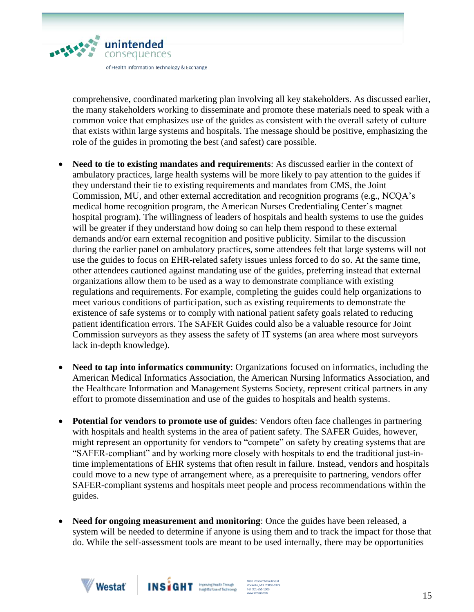

comprehensive, coordinated marketing plan involving all key stakeholders. As discussed earlier, the many stakeholders working to disseminate and promote these materials need to speak with a common voice that emphasizes use of the guides as consistent with the overall safety of culture that exists within large systems and hospitals. The message should be positive, emphasizing the role of the guides in promoting the best (and safest) care possible.

- Need to tie to existing mandates and requirements: As discussed earlier in the context of ambulatory practices, large health systems will be more likely to pay attention to the guides if they understand their tie to existing requirements and mandates from CMS, the Joint Commission, MU, and other external accreditation and recognition programs (e.g., NCQA's medical home recognition program, the American Nurses Credentialing Center's magnet hospital program). The willingness of leaders of hospitals and health systems to use the guides will be greater if they understand how doing so can help them respond to these external demands and/or earn external recognition and positive publicity. Similar to the discussion during the earlier panel on ambulatory practices, some attendees felt that large systems will not use the guides to focus on EHR-related safety issues unless forced to do so. At the same time, other attendees cautioned against mandating use of the guides, preferring instead that external organizations allow them to be used as a way to demonstrate compliance with existing regulations and requirements. For example, completing the guides could help organizations to meet various conditions of participation, such as existing requirements to demonstrate the existence of safe systems or to comply with national patient safety goals related to reducing patient identification errors. The SAFER Guides could also be a valuable resource for Joint Commission surveyors as they assess the safety of IT systems (an area where most surveyors lack in-depth knowledge).
- **Need to tap into informatics community**: Organizations focused on informatics, including the American Medical Informatics Association, the American Nursing Informatics Association, and the Healthcare Information and Management Systems Society, represent critical partners in any effort to promote dissemination and use of the guides to hospitals and health systems.
- **Potential for vendors to promote use of guides**: Vendors often face challenges in partnering with hospitals and health systems in the area of patient safety. The SAFER Guides, however, might represent an opportunity for vendors to "compete" on safety by creating systems that are "SAFER-compliant" and by working more closely with hospitals to end the traditional just-intime implementations of EHR systems that often result in failure. Instead, vendors and hospitals could move to a new type of arrangement where, as a prerequisite to partnering, vendors offer SAFER-compliant systems and hospitals meet people and process recommendations within the guides.
- **Need for ongoing measurement and monitoring**: Once the guides have been released, a system will be needed to determine if anyone is using them and to track the impact for those that do. While the self-assessment tools are meant to be used internally, there may be opportunities



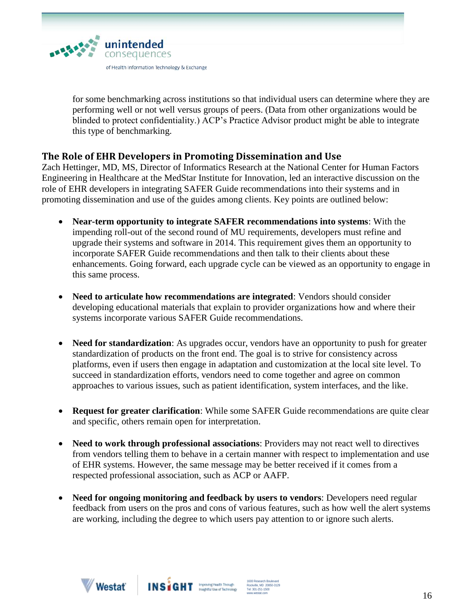

for some benchmarking across institutions so that individual users can determine where they are performing well or not well versus groups of peers. (Data from other organizations would be blinded to protect confidentiality.) ACP's Practice Advisor product might be able to integrate this type of benchmarking.

# **The Role of EHR Developers in Promoting Dissemination and Use**

Zach Hettinger, MD, MS, Director of Informatics Research at the National Center for Human Factors Engineering in Healthcare at the MedStar Institute for Innovation, led an interactive discussion on the role of EHR developers in integrating SAFER Guide recommendations into their systems and in promoting dissemination and use of the guides among clients. Key points are outlined below:

- **Near-term opportunity to integrate SAFER recommendations into systems**: With the impending roll-out of the second round of MU requirements, developers must refine and upgrade their systems and software in 2014. This requirement gives them an opportunity to incorporate SAFER Guide recommendations and then talk to their clients about these enhancements. Going forward, each upgrade cycle can be viewed as an opportunity to engage in this same process.
- **Need to articulate how recommendations are integrated**: Vendors should consider developing educational materials that explain to provider organizations how and where their systems incorporate various SAFER Guide recommendations.
- **Need for standardization**: As upgrades occur, vendors have an opportunity to push for greater standardization of products on the front end. The goal is to strive for consistency across platforms, even if users then engage in adaptation and customization at the local site level. To succeed in standardization efforts, vendors need to come together and agree on common approaches to various issues, such as patient identification, system interfaces, and the like.
- **Request for greater clarification**: While some SAFER Guide recommendations are quite clear and specific, others remain open for interpretation.
- **Need to work through professional associations**: Providers may not react well to directives from vendors telling them to behave in a certain manner with respect to implementation and use of EHR systems. However, the same message may be better received if it comes from a respected professional association, such as ACP or AAFP.
- Need for ongoing monitoring and feedback by users to vendors: Developers need regular feedback from users on the pros and cons of various features, such as how well the alert systems are working, including the degree to which users pay attention to or ignore such alerts.





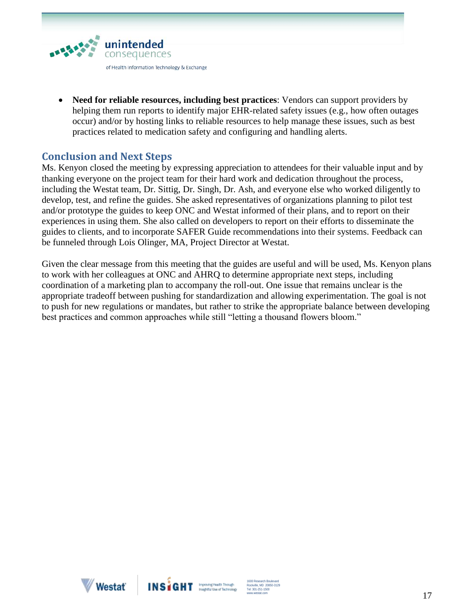

 **Need for reliable resources, including best practices**: Vendors can support providers by helping them run reports to identify major EHR-related safety issues (e.g., how often outages occur) and/or by hosting links to reliable resources to help manage these issues, such as best practices related to medication safety and configuring and handling alerts.

# **Conclusion and Next Steps**

Ms. Kenyon closed the meeting by expressing appreciation to attendees for their valuable input and by thanking everyone on the project team for their hard work and dedication throughout the process, including the Westat team, Dr. Sittig, Dr. Singh, Dr. Ash, and everyone else who worked diligently to develop, test, and refine the guides. She asked representatives of organizations planning to pilot test and/or prototype the guides to keep ONC and Westat informed of their plans, and to report on their experiences in using them. She also called on developers to report on their efforts to disseminate the guides to clients, and to incorporate SAFER Guide recommendations into their systems. Feedback can be funneled through Lois Olinger, MA, Project Director at Westat.

Given the clear message from this meeting that the guides are useful and will be used, Ms. Kenyon plans to work with her colleagues at ONC and AHRQ to determine appropriate next steps, including coordination of a marketing plan to accompany the roll-out. One issue that remains unclear is the appropriate tradeoff between pushing for standardization and allowing experimentation. The goal is not to push for new regulations or mandates, but rather to strike the appropriate balance between developing best practices and common approaches while still "letting a thousand flowers bloom."



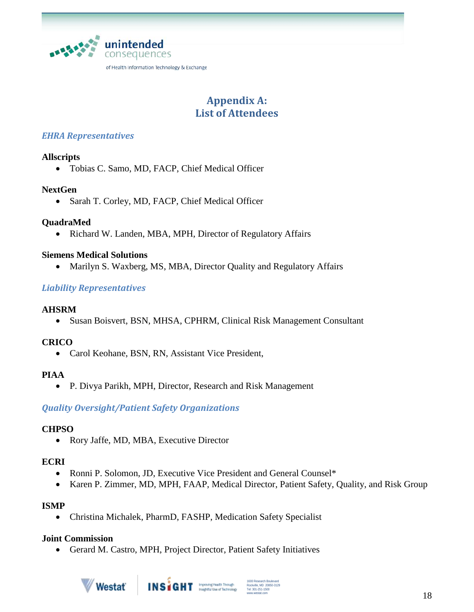

# **Appendix A: List of Attendees**

# *EHRA Representatives*

# **Allscripts**

Tobias C. Samo, MD, FACP, Chief Medical Officer

### **NextGen**

• Sarah T. Corley, MD, FACP, Chief Medical Officer

# **QuadraMed**

• Richard W. Landen, MBA, MPH, Director of Regulatory Affairs

### **Siemens Medical Solutions**

• Marilyn S. Waxberg, MS, MBA, Director Quality and Regulatory Affairs

# *Liability Representatives*

### **AHSRM**

Susan Boisvert, BSN, MHSA, CPHRM, Clinical Risk Management Consultant

# **CRICO**

• Carol Keohane, BSN, RN, Assistant Vice President,

#### **PIAA**

P. Divya Parikh, MPH, Director, Research and Risk Management

# *Quality Oversight/Patient Safety Organizations*

# **CHPSO**

Rory Jaffe, MD, MBA, Executive Director

#### **ECRI**

- Ronni P. Solomon, JD, Executive Vice President and General Counsel\*
- Karen P. Zimmer, MD, MPH, FAAP, Medical Director, Patient Safety, Quality, and Risk Group

# **ISMP**

Christina Michalek, PharmD, FASHP, Medication Safety Specialist

#### **Joint Commission**

Gerard M. Castro, MPH, Project Director, Patient Safety Initiatives



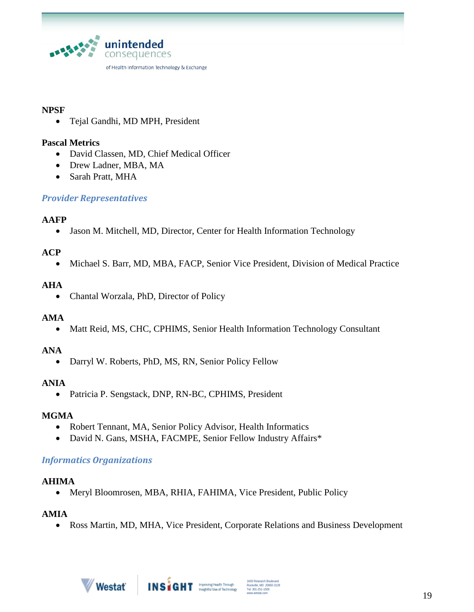

#### **NPSF**

Tejal Gandhi, MD MPH, President

#### **Pascal Metrics**

- David Classen, MD, Chief Medical Officer
- Drew Ladner, MBA, MA
- Sarah Pratt, MHA

# *Provider Representatives*

#### **AAFP**

• Jason M. Mitchell, MD, Director, Center for Health Information Technology

# **ACP**

Michael S. Barr, MD, MBA, FACP, Senior Vice President, Division of Medical Practice

### **AHA**

Chantal Worzala, PhD, Director of Policy

#### **AMA**

• Matt Reid, MS, CHC, CPHIMS, Senior Health Information Technology Consultant

# **ANA**

Darryl W. Roberts, PhD, MS, RN, Senior Policy Fellow

### **ANIA**

• Patricia P. Sengstack, DNP, RN-BC, CPHIMS, President

#### **MGMA**

- Robert Tennant, MA, Senior Policy Advisor, Health Informatics
- David N. Gans, MSHA, FACMPE, Senior Fellow Industry Affairs\*

#### *Informatics Organizations*

#### **AHIMA**

• Meryl Bloomrosen, MBA, RHIA, FAHIMA, Vice President, Public Policy

#### **AMIA**

Ross Martin, MD, MHA, Vice President, Corporate Relations and Business Development

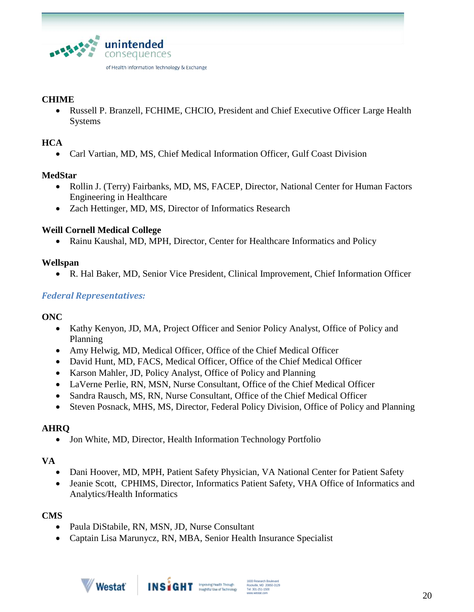

### **CHIME**

 Russell P. Branzell, FCHIME, CHCIO, President and Chief Executive Officer Large Health Systems

### **HCA**

Carl Vartian, MD, MS, Chief Medical Information Officer, Gulf Coast Division

### **MedStar**

- Rollin J. (Terry) Fairbanks, MD, MS, FACEP, Director, National Center for Human Factors Engineering in Healthcare
- Zach Hettinger, MD, MS, Director of Informatics Research

### **Weill Cornell Medical College**

Rainu Kaushal, MD, MPH, Director, Center for Healthcare Informatics and Policy

### **Wellspan**

R. Hal Baker, MD, Senior Vice President, Clinical Improvement, Chief Information Officer

# *Federal Representatives:*

#### **ONC**

- Kathy Kenyon, JD, MA, Project Officer and Senior Policy Analyst, Office of Policy and Planning
- Amy Helwig, MD, Medical Officer, Office of the Chief Medical Officer
- David Hunt, MD, FACS, Medical Officer, Office of the Chief Medical Officer
- Karson Mahler, JD, Policy Analyst, Office of Policy and Planning
- LaVerne Perlie, RN, MSN, Nurse Consultant, Office of the Chief Medical Officer
- Sandra Rausch, MS, RN, Nurse Consultant, Office of the Chief Medical Officer
- Steven Posnack, MHS, MS, Director, Federal Policy Division, Office of Policy and Planning

# **AHRQ**

• Jon White, MD, Director, Health Information Technology Portfolio

#### **VA**

- Dani Hoover, MD, MPH, Patient Safety Physician, VA National Center for Patient Safety
- Jeanie Scott, CPHIMS, Director, Informatics Patient Safety, VHA Office of Informatics and Analytics/Health Informatics

# **CMS**

- Paula DiStabile, RN, MSN, JD, Nurse Consultant
- Captain Lisa Marunycz, RN, MBA, Senior Health Insurance Specialist